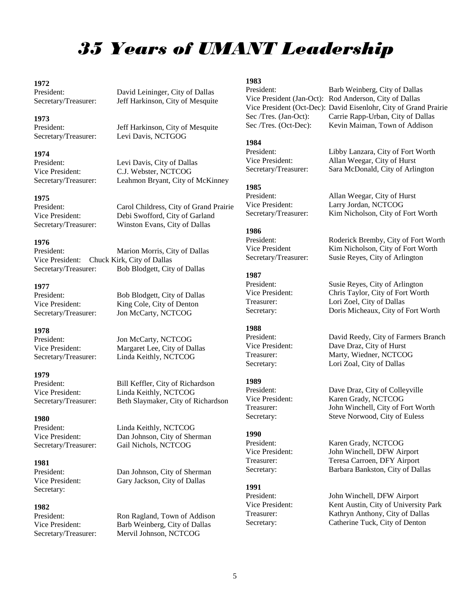# *35 Years of UMANT Leadership*

# **1972**

### **1973**

# **1974**

# **1975**

**1976** Vice President: Chuck Kirk, City of Dallas Secretary/Treasurer: Bob Blodgett, City of Dallas

# **1977**

# **1978**

### **1979**

# **1980**

# **1981**

Secretary:

# **1982**

President: David Leininger, City of Dallas Secretary/Treasurer: Jeff Harkinson, City of Mesquite

President: Jeff Harkinson, City of Mesquite<br>Secretary/Treasurer: Levi Davis, NCTGOG Levi Davis, NCTGOG

President: Levi Davis, City of Dallas Vice President: C.J. Webster, NCTCOG Secretary/Treasurer: Leahmon Bryant, City of McKinney

President: Carol Childress, City of Grand Prairie Vice President: Debi Swofford, City of Garland Secretary/Treasurer: Winston Evans, City of Dallas

Marion Morris, City of Dallas

President: Bob Blodgett, City of Dallas Vice President: King Cole, City of Denton Secretary/Treasurer: Jon McCarty, NCTCOG

President: Jon McCarty, NCTCOG Vice President: Margaret Lee, City of Dallas Secretary/Treasurer: Linda Keithly, NCTCOG

President: Bill Keffler, City of Richardson Vice President: Linda Keithly, NCTCOG Secretary/Treasurer: Beth Slaymaker, City of Richardson

President: Linda Keithly, NCTCOG Vice President: Dan Johnson, City of Sherman Secretary/Treasurer: Gail Nichols, NCTCOG

President: Dan Johnson, City of Sherman Vice President: Gary Jackson, City of Dallas

Ron Ragland, Town of Addison Vice President: Barb Weinberg, City of Dallas Secretary/Treasurer: Mervil Johnson, NCTCOG

**1983**

President: Libby Lanzara, City of Fort Worth

# **1985**

# **1986**

President: Roderick Bremby, City of Fort Worth Vice President Kim Nicholson, City of Fort Worth Secretary/Treasurer: Susie Reyes, City of Arlington

# **1987**

President: Susie Reyes, City of Arlington Vice President: Chris Taylor, City of Fort Worth Treasurer: Lori Zoel, City of Dallas Secretary: Doris Micheaux, City of Fort Worth

# **1988**

President: David Reedy, City of Farmers Branch Vice President: Dave Draz, City of Hurst Treasurer: Marty, Wiedner, NCTCOG Secretary: Lori Zoal, City of Dallas

# **1989**

President: Dave Draz, City of Colleyville Vice President: Karen Grady, NCTCOG Treasurer: John Winchell, City of Fort Worth Secretary: Steve Norwood, City of Euless

# **1990**

President: Karen Grady, NCTCOG Vice President: John Winchell, DFW Airport Treasurer: Teresa Carroen, DFY Airport Secretary: Barbara Bankston, City of Dallas

# **1991**

Barb Weinberg, City of Dallas Vice President (Jan-Oct): Rod Anderson, City of Dallas Vice President (Oct-Dec): David Eisenlohr, City of Grand Prairie Sec /Tres. (Jan-Oct): Carrie Rapp-Urban, City of Dallas Sec /Tres. (Oct-Dec): Kevin Maiman, Town of Addison

Allan Weegar, City of Hurst

# **1984**

Vice President: Allan Weegar, City of Hurst Secretary/Treasurer: Sara McDonald, City of Arlington

Vice President: Larry Jordan, NCTCOG Secretary/Treasurer: Kim Nicholson, City of Fort Worth

President: John Winchell, DFW Airport Vice President: Kent Austin, City of University Park Treasurer: Kathryn Anthony, City of Dallas Secretary: Catherine Tuck, City of Denton